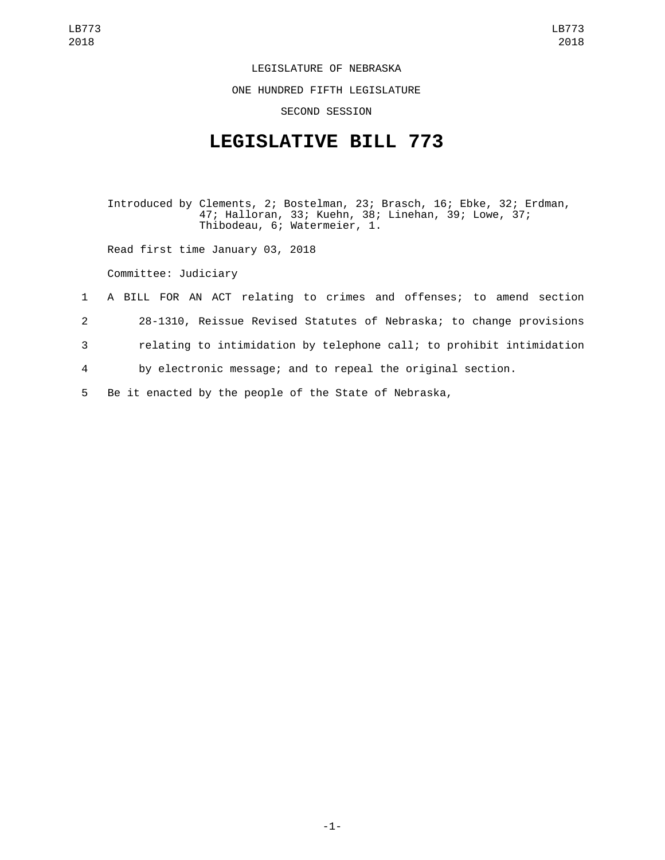LEGISLATURE OF NEBRASKA

ONE HUNDRED FIFTH LEGISLATURE

SECOND SESSION

## **LEGISLATIVE BILL 773**

Introduced by Clements, 2; Bostelman, 23; Brasch, 16; Ebke, 32; Erdman, 47; Halloran, 33; Kuehn, 38; Linehan, 39; Lowe, 37; Thibodeau, 6; Watermeier, 1.

Read first time January 03, 2018

Committee: Judiciary

- 1 A BILL FOR AN ACT relating to crimes and offenses; to amend section 2 28-1310, Reissue Revised Statutes of Nebraska; to change provisions
- 3 relating to intimidation by telephone call; to prohibit intimidation

4 by electronic message; and to repeal the original section.

5 Be it enacted by the people of the State of Nebraska,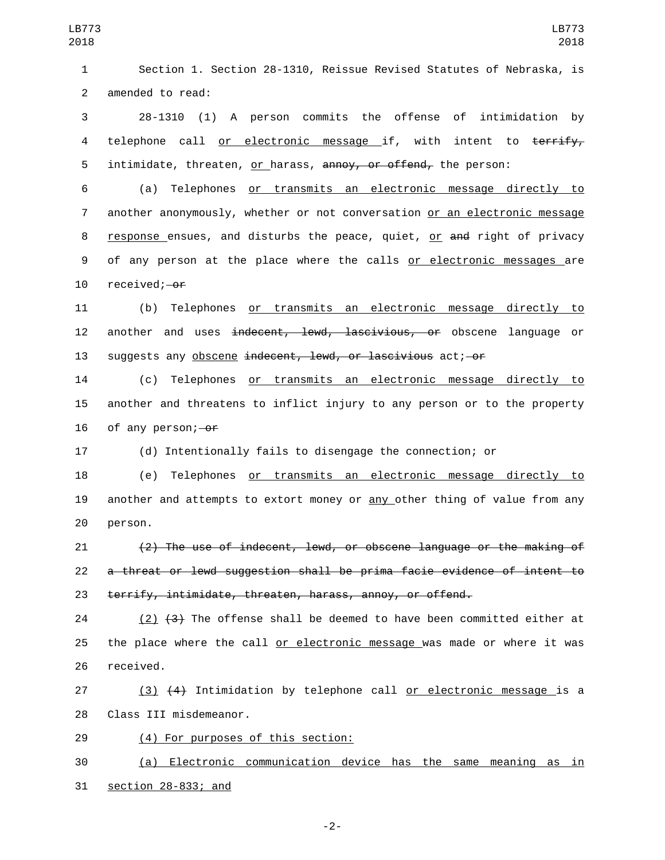1 Section 1. Section 28-1310, Reissue Revised Statutes of Nebraska, is 2 amended to read:

3 28-1310 (1) A person commits the offense of intimidation by 4 telephone call or electronic message if, with intent to terrify, 5 intimidate, threaten, or harass, annoy, or offend, the person:

6 (a) Telephones or transmits an electronic message directly to 7 another anonymously, whether or not conversation or an electronic message 8 response ensues, and disturbs the peace, quiet, or and right of privacy 9 of any person at the place where the calls or electronic messages are 10 received; or

11 (b) Telephones or transmits an electronic message directly to 12 another and uses <del>indecent, lewd, lascivious, or</del> obscene language or 13 suggests any obscene indecent, lewd, or lascivious act; or

14 (c) Telephones or transmits an electronic message directly to 15 another and threatens to inflict injury to any person or to the property 16 of any person; $-0f$ 

17 (d) Intentionally fails to disengage the connection; or

18 (e) Telephones or transmits an electronic message directly to 19 another and attempts to extort money or any other thing of value from any 20 person.

21 (2) The use of indecent, lewd, or obscene language or the making of 22 a threat or lewd suggestion shall be prima facie evidence of intent to 23 terrify, intimidate, threaten, harass, annoy, or offend.

24 (2)  $(3)$  The offense shall be deemed to have been committed either at 25 the place where the call or electronic message was made or where it was 26 received.

27 (3) (4) Intimidation by telephone call or electronic message is a 28 Class III misdemeanor.

29 (4) For purposes of this section:

30 (a) Electronic communication device has the same meaning as in 31 section 28-833; and

-2-